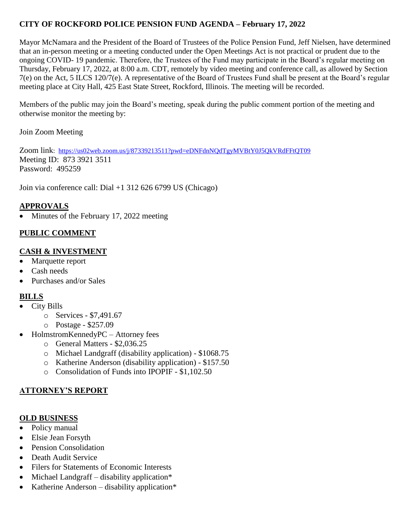# **CITY OF ROCKFORD POLICE PENSION FUND AGENDA – February 17, 2022**

Mayor McNamara and the President of the Board of Trustees of the Police Pension Fund, Jeff Nielsen, have determined that an in-person meeting or a meeting conducted under the Open Meetings Act is not practical or prudent due to the ongoing COVID- 19 pandemic. Therefore, the Trustees of the Fund may participate in the Board's regular meeting on Thursday, February 17, 2022, at 8:00 a.m. CDT, remotely by video meeting and conference call, as allowed by Section 7(e) on the Act, 5 ILCS 120/7(e). A representative of the Board of Trustees Fund shall be present at the Board's regular meeting place at City Hall, 425 East State Street, Rockford, Illinois. The meeting will be recorded.

Members of the public may join the Board's meeting, speak during the public comment portion of the meeting and otherwise monitor the meeting by:

Join Zoom Meeting

Zoom link: <https://us02web.zoom.us/j/87339213511?pwd=eDNFdnNQdTgyMVBtY0J5QkVRdFFtQT09> Meeting ID: 873 3921 3511 Password: 495259

Join via conference call: Dial +1 312 626 6799 US (Chicago)

# **APPROVALS**

Minutes of the February 17, 2022 meeting

### **PUBLIC COMMENT**

### **CASH & INVESTMENT**

- Marquette report
- Cash needs
- Purchases and/or Sales

#### **BILLS**

- City Bills
	- o Services \$7,491.67
	- o Postage \$257.09
- HolmstromKennedyPC Attorney fees
	- o General Matters \$2,036.25
	- o Michael Landgraff (disability application) \$1068.75
	- o Katherine Anderson (disability application) \$157.50
	- o Consolidation of Funds into IPOPIF \$1,102.50

### **ATTORNEY'S REPORT**

### **OLD BUSINESS**

- Policy manual
- Elsie Jean Forsyth
- Pension Consolidation
- Death Audit Service
- Filers for Statements of Economic Interests
- $\bullet$  Michael Landgraff disability application\*
- Katherine Anderson disability application $*$